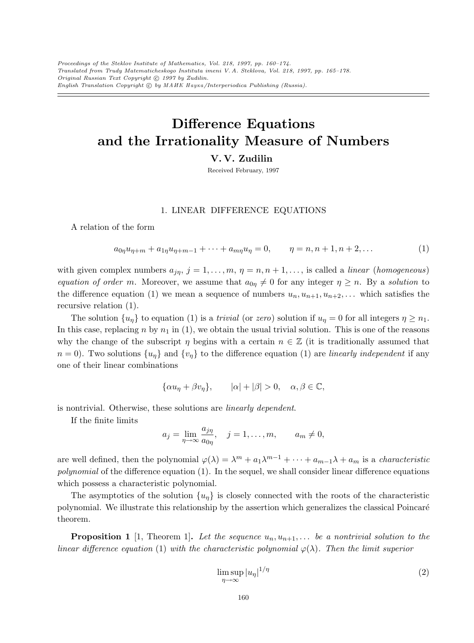# Difference Equations and the Irrationality Measure of Numbers

V. V. Zudilin

Received February, 1997

## 1. LINEAR DIFFERENCE EQUATIONS

A relation of the form

$$
a_{0\eta}u_{\eta+m} + a_{1\eta}u_{\eta+m-1} + \dots + a_{m\eta}u_{\eta} = 0, \qquad \eta = n, n+1, n+2, \dots
$$
 (1)

with given complex numbers  $a_{jn}$ ,  $j = 1, ..., m$ ,  $\eta = n, n + 1, ...,$  is called a *linear (homogeneous)* equation of order m. Moreover, we assume that  $a_{0\eta} \neq 0$  for any integer  $\eta \geq n$ . By a solution to the difference equation (1) we mean a sequence of numbers  $u_n, u_{n+1}, u_{n+2}, \ldots$  which satisfies the recursive relation (1).

The solution  $\{u_n\}$  to equation (1) is a *trivial* (or zero) solution if  $u_n = 0$  for all integers  $\eta \geq n_1$ . In this case, replacing n by  $n_1$  in (1), we obtain the usual trivial solution. This is one of the reasons why the change of the subscript  $\eta$  begins with a certain  $n \in \mathbb{Z}$  (it is traditionally assumed that  $n = 0$ ). Two solutions  $\{u_n\}$  and  $\{v_n\}$  to the difference equation (1) are linearly independent if any one of their linear combinations

$$
\{\alpha u_{\eta} + \beta v_{\eta}\}, \qquad |\alpha| + |\beta| > 0, \quad \alpha, \beta \in \mathbb{C},
$$

is nontrivial. Otherwise, these solutions are linearly dependent.

If the finite limits

$$
a_j = \lim_{\eta \to \infty} \frac{a_{j\eta}}{a_{0\eta}}, \quad j = 1, \dots, m, \qquad a_m \neq 0,
$$

are well defined, then the polynomial  $\varphi(\lambda) = \lambda^m + a_1 \lambda^{m-1} + \cdots + a_{m-1} \lambda + a_m$  is a *characteristic* polynomial of the difference equation  $(1)$ . In the sequel, we shall consider linear difference equations which possess a characteristic polynomial.

The asymptotics of the solution  $\{u_{\eta}\}\$ is closely connected with the roots of the characteristic polynomial. We illustrate this relationship by the assertion which generalizes the classical Poincar´e theorem.

**Proposition 1** [1, Theorem 1]. Let the sequence  $u_n, u_{n+1}, \ldots$  be a nontrivial solution to the linear difference equation (1) with the characteristic polynomial  $\varphi(\lambda)$ . Then the limit superior

$$
\limsup_{\eta \to \infty} |u_{\eta}|^{1/\eta} \tag{2}
$$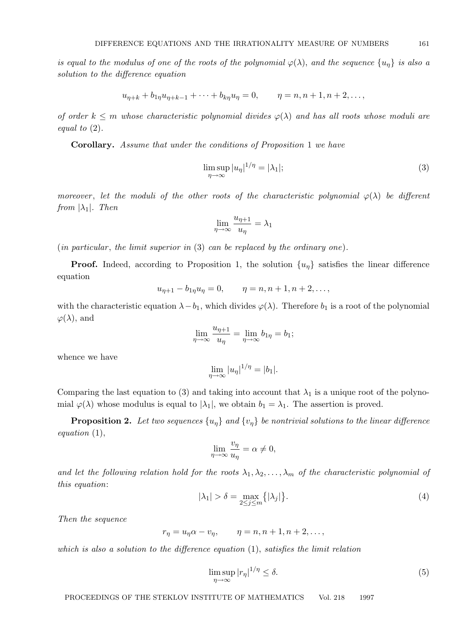is equal to the modulus of one of the roots of the polynomial  $\varphi(\lambda)$ , and the sequence  $\{u_n\}$  is also a solution to the difference equation

$$
u_{\eta+k} + b_{1\eta}u_{\eta+k-1} + \cdots + b_{k\eta}u_{\eta} = 0, \qquad \eta = n, n+1, n+2, \ldots,
$$

of order  $k \leq m$  whose characteristic polynomial divides  $\varphi(\lambda)$  and has all roots whose moduli are equal to  $(2)$ .

Corollary. Assume that under the conditions of Proposition 1 we have

$$
\limsup_{\eta \to \infty} |u_{\eta}|^{1/\eta} = |\lambda_1|; \tag{3}
$$

moreover, let the moduli of the other roots of the characteristic polynomial  $\varphi(\lambda)$  be different from  $|\lambda_1|$ . Then

$$
\lim_{\eta \to \infty} \frac{u_{\eta+1}}{u_{\eta}} = \lambda_1
$$

 $(in$  particular, the limit superior in  $(3)$  can be replaced by the ordinary one).

**Proof.** Indeed, according to Proposition 1, the solution  $\{u_n\}$  satisfies the linear difference equation

$$
u_{\eta+1} - b_{1\eta}u_{\eta} = 0, \qquad \eta = n, n+1, n+2, \dots,
$$

with the characteristic equation  $\lambda - b_1$ , which divides  $\varphi(\lambda)$ . Therefore  $b_1$  is a root of the polynomial  $\varphi(\lambda)$ , and

$$
\lim_{\eta \to \infty} \frac{u_{\eta+1}}{u_{\eta}} = \lim_{\eta \to \infty} b_{1\eta} = b_1;
$$

whence we have

$$
\lim_{\eta \to \infty} |u_{\eta}|^{1/\eta} = |b_1|.
$$

Comparing the last equation to (3) and taking into account that  $\lambda_1$  is a unique root of the polynomial  $\varphi(\lambda)$  whose modulus is equal to  $|\lambda_1|$ , we obtain  $b_1 = \lambda_1$ . The assertion is proved.

**Proposition 2.** Let two sequences  $\{u_n\}$  and  $\{v_n\}$  be nontrivial solutions to the linear difference equation (1),

$$
\lim_{\eta \to \infty} \frac{v_{\eta}}{u_{\eta}} = \alpha \neq 0,
$$

and let the following relation hold for the roots  $\lambda_1, \lambda_2, \ldots, \lambda_m$  of the characteristic polynomial of this equation:

$$
|\lambda_1| > \delta = \max_{2 \le j \le m} \{ |\lambda_j| \}. \tag{4}
$$

Then the sequence

$$
r_{\eta} = u_{\eta}\alpha - v_{\eta}, \qquad \eta = n, n+1, n+2, \dots,
$$

which is also a solution to the difference equation  $(1)$ , satisfies the limit relation

$$
\limsup_{\eta \to \infty} |r_{\eta}|^{1/\eta} \le \delta. \tag{5}
$$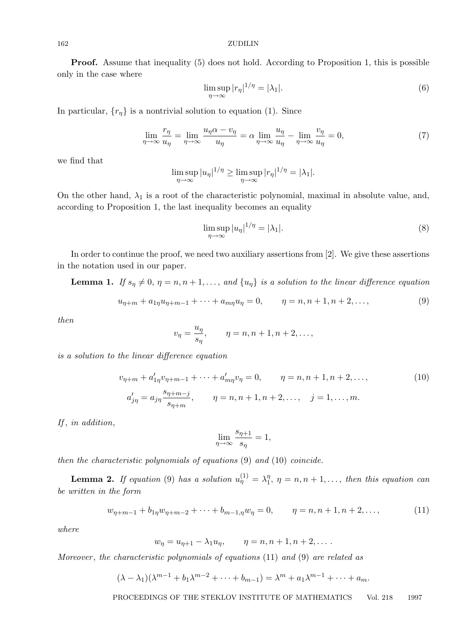Proof. Assume that inequality (5) does not hold. According to Proposition 1, this is possible only in the case where

$$
\limsup_{\eta \to \infty} |r_{\eta}|^{1/\eta} = |\lambda_1|.
$$
 (6)

In particular,  $\{r_{\eta}\}\$ is a nontrivial solution to equation (1). Since

$$
\lim_{\eta \to \infty} \frac{r_{\eta}}{u_{\eta}} = \lim_{\eta \to \infty} \frac{u_{\eta} \alpha - v_{\eta}}{u_{\eta}} = \alpha \lim_{\eta \to \infty} \frac{u_{\eta}}{u_{\eta}} - \lim_{\eta \to \infty} \frac{v_{\eta}}{u_{\eta}} = 0,
$$
\n(7)

we find that

$$
\limsup_{\eta \to \infty} |u_{\eta}|^{1/\eta} \ge \limsup_{\eta \to \infty} |r_{\eta}|^{1/\eta} = |\lambda_1|.
$$

On the other hand,  $\lambda_1$  is a root of the characteristic polynomial, maximal in absolute value, and, according to Proposition 1, the last inequality becomes an equality

$$
\limsup_{\eta \to \infty} |u_{\eta}|^{1/\eta} = |\lambda_1|.
$$
 (8)

In order to continue the proof, we need two auxiliary assertions from [2]. We give these assertions in the notation used in our paper.

**Lemma 1.** If  $s_\eta \neq 0$ ,  $\eta = n, n + 1, \ldots$ , and  $\{u_\eta\}$  is a solution to the linear difference equation

$$
u_{\eta+m} + a_{1\eta}u_{\eta+m-1} + \dots + a_{m\eta}u_{\eta} = 0, \qquad \eta = n, n+1, n+2, \dots,
$$
 (9)

then

$$
v_{\eta} = \frac{u_{\eta}}{s_{\eta}}, \qquad \eta = n, n+1, n+2, \dots,
$$

is a solution to the linear difference equation

$$
v_{\eta+m} + a'_{1\eta}v_{\eta+m-1} + \dots + a'_{m\eta}v_{\eta} = 0, \qquad \eta = n, n+1, n+2, \dots,
$$
  
\n
$$
a'_{j\eta} = a_{j\eta} \frac{s_{\eta+m-j}}{s_{\eta+m}}, \qquad \eta = n, n+1, n+2, \dots, \quad j = 1, \dots, m.
$$
  
\n(10)

If, in addition,

$$
\lim_{\eta \to \infty} \frac{s_{\eta+1}}{s_{\eta}} = 1,
$$

then the characteristic polynomials of equations (9) and (10) coincide.

**Lemma 2.** If equation (9) has a solution  $u_{\eta}^{(1)} = \lambda_1^{\eta}$  $\eta_1$ ,  $\eta = n, n + 1, \ldots$ , then this equation can be written in the form

$$
w_{\eta+m-1} + b_{1\eta}w_{\eta+m-2} + \dots + b_{m-1,\eta}w_{\eta} = 0, \qquad \eta = n, n+1, n+2, \dots,
$$
 (11)

where

$$
w_{\eta} = u_{\eta+1} - \lambda_1 u_{\eta}, \qquad \eta = n, n+1, n+2, \dots
$$

Moreover, the characteristic polynomials of equations (11) and (9) are related as

$$
(\lambda - \lambda_1)(\lambda^{m-1} + b_1\lambda^{m-2} + \cdots + b_{m-1}) = \lambda^m + a_1\lambda^{m-1} + \cdots + a_m.
$$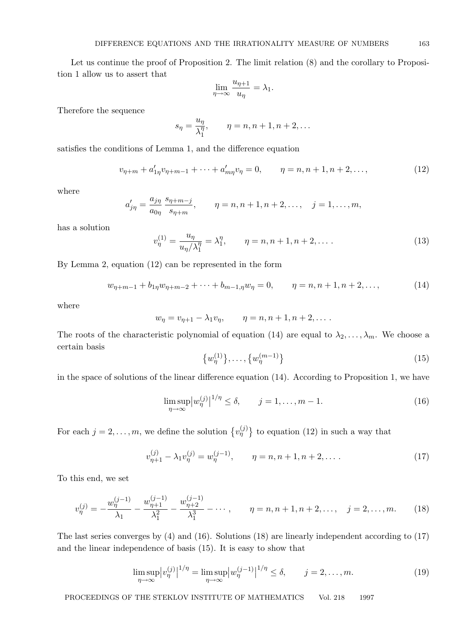Let us continue the proof of Proposition 2. The limit relation (8) and the corollary to Proposition 1 allow us to assert that

$$
\lim_{\eta \to \infty} \frac{u_{\eta+1}}{u_{\eta}} = \lambda_1.
$$

Therefore the sequence

$$
s_{\eta} = \frac{u_{\eta}}{\lambda_1^{\eta}}, \qquad \eta = n, n+1, n+2, \dots
$$

satisfies the conditions of Lemma 1, and the difference equation

$$
v_{\eta+m} + a'_{1\eta}v_{\eta+m-1} + \dots + a'_{m\eta}v_{\eta} = 0, \qquad \eta = n, n+1, n+2, \dots,
$$
 (12)

where

$$
a'_{j\eta} = \frac{a_{j\eta}}{a_{0\eta}} \frac{s_{\eta+m-j}}{s_{\eta+m}},
$$
   
  $\eta = n, n+1, n+2, ..., j = 1, ..., m,$ 

has a solution

$$
v_{\eta}^{(1)} = \frac{u_{\eta}}{u_{\eta}/\lambda_1^{\eta}} = \lambda_1^{\eta}, \qquad \eta = n, n+1, n+2, \dots
$$
 (13)

By Lemma 2, equation (12) can be represented in the form

$$
w_{\eta+m-1} + b_{1\eta}w_{\eta+m-2} + \dots + b_{m-1,\eta}w_{\eta} = 0, \qquad \eta = n, n+1, n+2, \dots,
$$
 (14)

where

$$
w_{\eta} = v_{\eta+1} - \lambda_1 v_{\eta}, \qquad \eta = n, n+1, n+2, \dots
$$

The roots of the characteristic polynomial of equation (14) are equal to  $\lambda_2, \ldots, \lambda_m$ . We choose a certain basis

$$
\{w_{\eta}^{(1)}\}, \ldots, \{w_{\eta}^{(m-1)}\}\tag{15}
$$

in the space of solutions of the linear difference equation (14). According to Proposition 1, we have

$$
\limsup_{\eta \to \infty} \left| w_{\eta}^{(j)} \right|^{1/\eta} \le \delta, \qquad j = 1, \dots, m - 1. \tag{16}
$$

For each  $j = 2, \ldots, m$ , we define the solution  $\{v_{\eta}^{(j)}\}$  to equation (12) in such a way that

$$
v_{\eta+1}^{(j)} - \lambda_1 v_{\eta}^{(j)} = w_{\eta}^{(j-1)}, \qquad \eta = n, n+1, n+2, \dots
$$
 (17)

To this end, we set

$$
v_{\eta}^{(j)} = -\frac{w_{\eta}^{(j-1)}}{\lambda_1} - \frac{w_{\eta+1}^{(j-1)}}{\lambda_1^2} - \frac{w_{\eta+2}^{(j-1)}}{\lambda_1^3} - \cdots, \qquad \eta = n, n+1, n+2, \dots, \quad j = 2, \dots, m. \tag{18}
$$

The last series converges by (4) and (16). Solutions (18) are linearly independent according to (17) and the linear independence of basis (15). It is easy to show that

$$
\limsup_{\eta \to \infty} |v_{\eta}^{(j)}|^{1/\eta} = \limsup_{\eta \to \infty} |w_{\eta}^{(j-1)}|^{1/\eta} \le \delta, \qquad j = 2, \dots, m. \tag{19}
$$

PROCEEDINGS OF THE STEKLOV INSTITUTE OF MATHEMATICS Vol. 218 1997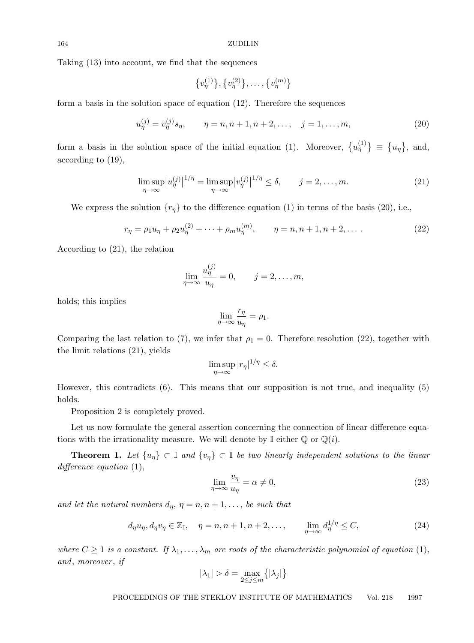Taking (13) into account, we find that the sequences

$$
\{v_{\eta}^{(1)}\}, \{v_{\eta}^{(2)}\}, \ldots, \{v_{\eta}^{(m)}\}
$$

form a basis in the solution space of equation (12). Therefore the sequences

$$
u_{\eta}^{(j)} = v_{\eta}^{(j)} s_{\eta}, \qquad \eta = n, n+1, n+2, \dots, \quad j = 1, \dots, m,
$$
 (20)

form a basis in the solution space of the initial equation (1). Moreover,  $\{u_{\eta}^{(1)}\}\equiv \{u_{\eta}\}\text{, and,}$ according to (19),

$$
\limsup_{\eta \to \infty} |u_{\eta}^{(j)}|^{1/\eta} = \limsup_{\eta \to \infty} |v_{\eta}^{(j)}|^{1/\eta} \le \delta, \qquad j = 2, \dots, m. \tag{21}
$$

We express the solution  $\{r_{\eta}\}\$ to the difference equation (1) in terms of the basis (20), i.e.,

$$
r_{\eta} = \rho_1 u_{\eta} + \rho_2 u_{\eta}^{(2)} + \dots + \rho_m u_{\eta}^{(m)}, \qquad \eta = n, n + 1, n + 2, \dots
$$
 (22)

According to (21), the relation

$$
\lim_{\eta \to \infty} \frac{u_{\eta}^{(j)}}{u_{\eta}} = 0, \qquad j = 2, \dots, m,
$$

holds; this implies

$$
\lim_{\eta \to \infty} \frac{r_{\eta}}{u_{\eta}} = \rho_1.
$$

Comparing the last relation to (7), we infer that  $\rho_1 = 0$ . Therefore resolution (22), together with the limit relations (21), yields

$$
\limsup_{\eta \to \infty} |r_{\eta}|^{1/\eta} \le \delta.
$$

However, this contradicts (6). This means that our supposition is not true, and inequality (5) holds.

Proposition 2 is completely proved.

Let us now formulate the general assertion concerning the connection of linear difference equations with the irrationality measure. We will denote by  $\mathbb I$  either  $\mathbb Q$  or  $\mathbb Q(i)$ .

**Theorem 1.** Let  $\{u_{\eta}\}\subset \mathbb{I}$  and  $\{v_{\eta}\}\subset \mathbb{I}$  be two linearly independent solutions to the linear difference equation  $(1)$ ,

$$
\lim_{\eta \to \infty} \frac{v_{\eta}}{u_{\eta}} = \alpha \neq 0,\tag{23}
$$

and let the natural numbers  $d_{\eta}$ ,  $\eta = n, n + 1, \ldots$ , be such that

$$
d_{\eta}u_{\eta}, d_{\eta}v_{\eta} \in \mathbb{Z}_{\mathbb{I}}, \quad \eta = n, n+1, n+2, \dots, \qquad \lim_{\eta \to \infty} d_{\eta}^{1/\eta} \leq C,
$$
\n
$$
(24)
$$

where  $C \geq 1$  is a constant. If  $\lambda_1, \ldots, \lambda_m$  are roots of the characteristic polynomial of equation (1), and, moreover, if

$$
|\lambda_1|>\delta=\max_{2\leq j\leq m}\bigl\{|\lambda_j|\bigr\}
$$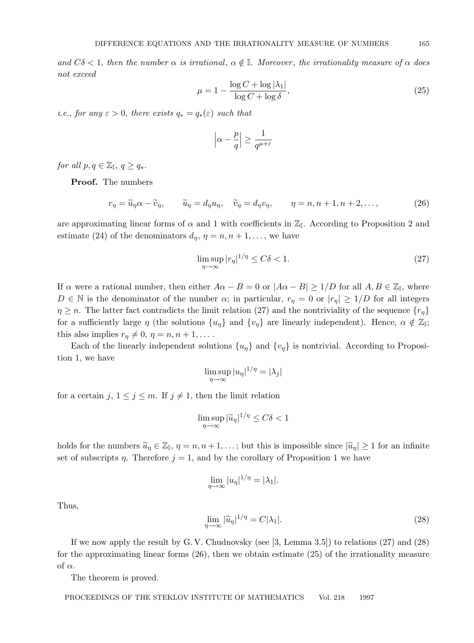and  $C\delta$  < 1, then the number  $\alpha$  is irrational,  $\alpha \notin \mathbb{I}$ . Moreover, the irrationality measure of  $\alpha$  does not exceed

$$
\mu = 1 - \frac{\log C + \log |\lambda_1|}{\log C + \log \delta},\tag{25}
$$

*i.e.*, for any  $\varepsilon > 0$ , there exists  $q_* = q_*(\varepsilon)$  such that

$$
\left|\alpha - \frac{p}{q}\right| \ge \frac{1}{q^{\mu+\varepsilon}}
$$

for all  $p, q \in \mathbb{Z}_{\mathbb{I}}, q \geq q_*$ .

Proof. The numbers

 $r_n = \widetilde{u}_n \alpha - \widetilde{v}_n, \qquad \widetilde{u}_n = d_n u_n, \quad \widetilde{v}_n = d_n v_n, \qquad \eta = n, n + 1, n + 2, \dots,$  (26)

are approximating linear forms of  $\alpha$  and 1 with coefficients in  $\mathbb{Z}_I$ . According to Proposition 2 and estimate (24) of the denominators  $d_{\eta}$ ,  $\eta = n, n + 1, \ldots$ , we have

$$
\limsup_{\eta \to \infty} |r_{\eta}|^{1/\eta} \le C\delta < 1.
$$
\n(27)

If  $\alpha$  were a rational number, then either  $A\alpha - B = 0$  or  $|A\alpha - B| \ge 1/D$  for all  $A, B \in \mathbb{Z}_{\mathbb{I}}$ , where  $D \in \mathbb{N}$  is the denominator of the number  $\alpha$ ; in particular,  $r_{\eta} = 0$  or  $|r_{\eta}| \geq 1/D$  for all integers  $\eta \geq n$ . The latter fact contradicts the limit relation (27) and the nontriviality of the sequence  $\{\eta\}$ for a sufficiently large  $\eta$  (the solutions  $\{u_{\eta}\}\$ and  $\{v_{\eta}\}\$ are linearly independent). Hence,  $\alpha \notin \mathbb{Z}_{I}$ ; this also implies  $r_n \neq 0, \, \eta = n, n + 1, \dots$ .

Each of the linearly independent solutions  $\{u_{\eta}\}\$  and  $\{v_{\eta}\}\$ is nontrivial. According to Proposition 1, we have

$$
\limsup_{\eta \to \infty} |u_{\eta}|^{1/\eta} = |\lambda_j|
$$

for a certain j,  $1 \leq j \leq m$ . If  $j \neq 1$ , then the limit relation

$$
\limsup_{\eta \to \infty} |\widetilde{u}_{\eta}|^{1/\eta} \le C\delta < 1
$$

holds for the numbers  $\widetilde{u}_{\eta} \in \mathbb{Z}_{I}$ ,  $\eta = n, n + 1, ...$ ; but this is impossible since  $|\widetilde{u}_{\eta}| \geq 1$  for an infinite set of subscripts  $\eta$ . Therefore  $j = 1$ , and by the corollary of Proposition 1 we have

$$
\lim_{\eta \to \infty} |u_{\eta}|^{1/\eta} = |\lambda_1|.
$$

Thus,

$$
\lim_{\eta \to \infty} |\widetilde{u}_{\eta}|^{1/\eta} = C|\lambda_1|.
$$
\n(28)

If we now apply the result by G. V. Chudnovsky (see [3, Lemma 3.5]) to relations (27) and (28) for the approximating linear forms (26), then we obtain estimate (25) of the irrationality measure of  $\alpha$ .

The theorem is proved.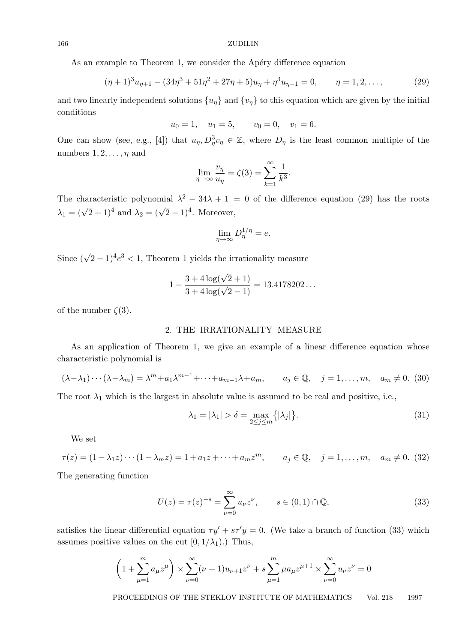#### 166 ZUDILIN

As an example to Theorem 1, we consider the Apéry difference equation

$$
(\eta + 1)^3 u_{\eta+1} - (34\eta^3 + 51\eta^2 + 27\eta + 5)u_{\eta} + \eta^3 u_{\eta-1} = 0, \qquad \eta = 1, 2, \dots,
$$
 (29)

and two linearly independent solutions  $\{u_{\eta}\}\$  and  $\{v_{\eta}\}\$  to this equation which are given by the initial conditions

$$
u_0 = 1
$$
,  $u_1 = 5$ ,  $v_0 = 0$ ,  $v_1 = 6$ .

One can show (see, e.g., [4]) that  $u_{\eta}, D_{\eta}^3 v_{\eta} \in \mathbb{Z}$ , where  $D_{\eta}$  is the least common multiple of the numbers  $1, 2, \ldots, \eta$  and

$$
\lim_{\eta \to \infty} \frac{v_{\eta}}{u_{\eta}} = \zeta(3) = \sum_{k=1}^{\infty} \frac{1}{k^3}.
$$

The characteristic polynomial  $\lambda^2 - 34\lambda + 1 = 0$  of the difference equation (29) has the roots The characteristic polynomial  $\lambda = 34\lambda + 1$ .<br>  $\lambda_1 = (\sqrt{2} + 1)^4$  and  $\lambda_2 = (\sqrt{2} - 1)^4$ . Moreover,

$$
\lim_{\eta \to \infty} D_{\eta}^{1/\eta} = e.
$$

Since  $(\sqrt{2} - 1)^4 e^3 < 1$ , Theorem 1 yields the irrationality measure

$$
1 - \frac{3 + 4\log(\sqrt{2} + 1)}{3 + 4\log(\sqrt{2} - 1)} = 13.4178202...
$$

of the number  $\zeta(3)$ .

## 2. THE IRRATIONALITY MEASURE

As an application of Theorem 1, we give an example of a linear difference equation whose characteristic polynomial is

$$
(\lambda - \lambda_1) \cdots (\lambda - \lambda_m) = \lambda^m + a_1 \lambda^{m-1} + \cdots + a_{m-1} \lambda + a_m, \qquad a_j \in \mathbb{Q}, \quad j = 1, \ldots, m, \quad a_m \neq 0. \tag{30}
$$

The root  $\lambda_1$  which is the largest in absolute value is assumed to be real and positive, i.e.,

$$
\lambda_1 = |\lambda_1| > \delta = \max_{2 \le j \le m} \{ |\lambda_j| \}. \tag{31}
$$

We set

$$
\tau(z) = (1 - \lambda_1 z) \cdots (1 - \lambda_m z) = 1 + a_1 z + \cdots + a_m z^m, \qquad a_j \in \mathbb{Q}, \quad j = 1, \ldots, m, \quad a_m \neq 0. \tag{32}
$$

The generating function

$$
U(z) = \tau(z)^{-s} = \sum_{\nu=0}^{\infty} u_{\nu} z^{\nu}, \qquad s \in (0,1) \cap \mathbb{Q}, \tag{33}
$$

satisfies the linear differential equation  $\tau y' + s\tau' y = 0$ . (We take a branch of function (33) which assumes positive values on the cut  $[0, 1/\lambda_1)$ .) Thus,

$$
\left(1 + \sum_{\mu=1}^{m} a_{\mu} z^{\mu}\right) \times \sum_{\nu=0}^{\infty} (\nu+1) u_{\nu+1} z^{\nu} + s \sum_{\mu=1}^{m} \mu a_{\mu} z^{\mu+1} \times \sum_{\nu=0}^{\infty} u_{\nu} z^{\nu} = 0
$$

PROCEEDINGS OF THE STEKLOV INSTITUTE OF MATHEMATICS Vol. 218 1997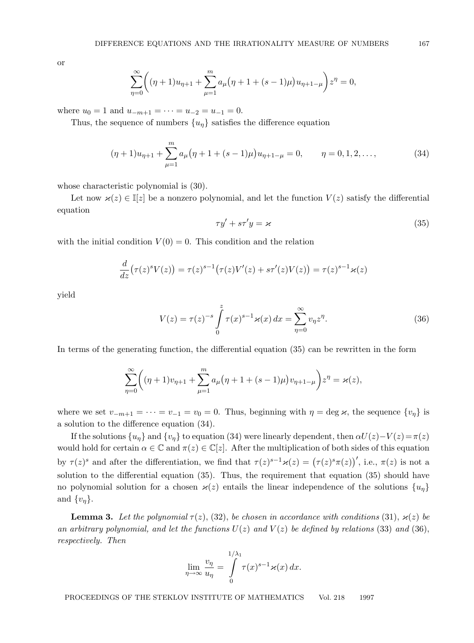or

$$
\sum_{\eta=0}^{\infty} \left( (\eta + 1)u_{\eta+1} + \sum_{\mu=1}^{m} a_{\mu} (\eta + 1 + (s - 1)\mu)u_{\eta+1-\mu} \right) z^{\eta} = 0,
$$

where  $u_0 = 1$  and  $u_{-m+1} = \cdots = u_{-2} = u_{-1} = 0$ .

Thus, the sequence of numbers  $\{u_n\}$  satisfies the difference equation

$$
(\eta + 1)u_{\eta+1} + \sum_{\mu=1}^{m} a_{\mu} (\eta + 1 + (s - 1)\mu) u_{\eta+1-\mu} = 0, \qquad \eta = 0, 1, 2, \dots,
$$
 (34)

whose characteristic polynomial is (30).

Let now  $\varkappa(z) \in \mathbb{I}[z]$  be a nonzero polynomial, and let the function  $V(z)$  satisfy the differential equation

$$
\tau y' + s\tau' y = \varkappa \tag{35}
$$

with the initial condition  $V(0) = 0$ . This condition and the relation

$$
\frac{d}{dz}(\tau(z)^s V(z)) = \tau(z)^{s-1} (\tau(z)V'(z) + s\tau'(z)V(z)) = \tau(z)^{s-1}\varkappa(z)
$$

yield

$$
V(z) = \tau(z)^{-s} \int_{0}^{z} \tau(x)^{s-1} \varkappa(x) dx = \sum_{\eta=0}^{\infty} v_{\eta} z^{\eta}.
$$
 (36)

In terms of the generating function, the differential equation (35) can be rewritten in the form

$$
\sum_{\eta=0}^{\infty} \left( (\eta+1)v_{\eta+1} + \sum_{\mu=1}^{m} a_{\mu} (\eta+1+(s-1)\mu)v_{\eta+1-\mu} \right) z^{\eta} = \varkappa(z),
$$

where we set  $v_{-m+1} = \cdots = v_{-1} = v_0 = 0$ . Thus, beginning with  $\eta = \deg \varkappa$ , the sequence  $\{v_{\eta}\}$  is a solution to the difference equation (34).

If the solutions  $\{u_n\}$  and  $\{v_n\}$  to equation (34) were linearly dependent, then  $\alpha U(z)-V(z)=\pi(z)$ would hold for certain  $\alpha \in \mathbb{C}$  and  $\pi(z) \in \mathbb{C}[z]$ . After the multiplication of both sides of this equation by  $\tau(z)^s$  and after the differentiation, we find that  $\tau(z)^{s-1}\varkappa(z) = (\tau(z)^s\pi(z))'$ , i.e.,  $\pi(z)$  is not a solution to the differential equation (35). Thus, the requirement that equation (35) should have no polynomial solution for a chosen  $\varkappa(z)$  entails the linear independence of the solutions  $\{u_n\}$ and  $\{v_n\}$ .

**Lemma 3.** Let the polynomial  $\tau(z)$ , (32), be chosen in accordance with conditions (31),  $\varkappa(z)$  be an arbitrary polynomial, and let the functions  $U(z)$  and  $V(z)$  be defined by relations (33) and (36), respectively. Then

$$
\lim_{\eta \to \infty} \frac{v_{\eta}}{u_{\eta}} = \int_{0}^{1/\lambda_1} \tau(x)^{s-1} \varkappa(x) dx.
$$

PROCEEDINGS OF THE STEKLOV INSTITUTE OF MATHEMATICS Vol. 218 1997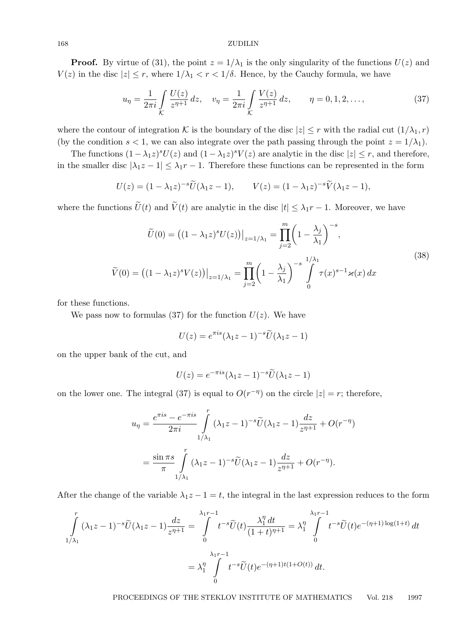#### 168 ZUDILIN

**Proof.** By virtue of (31), the point  $z = 1/\lambda_1$  is the only singularity of the functions  $U(z)$  and  $V(z)$  in the disc  $|z| \leq r$ , where  $1/\lambda_1 < r < 1/\delta$ . Hence, by the Cauchy formula, we have

$$
u_{\eta} = \frac{1}{2\pi i} \int_{\mathcal{K}} \frac{U(z)}{z^{\eta+1}} dz, \quad v_{\eta} = \frac{1}{2\pi i} \int_{\mathcal{K}} \frac{V(z)}{z^{\eta+1}} dz, \qquad \eta = 0, 1, 2, \dots,
$$
 (37)

where the contour of integration K is the boundary of the disc  $|z| \leq r$  with the radial cut  $(1/\lambda_1, r)$ (by the condition  $s < 1$ , we can also integrate over the path passing through the point  $z = 1/\lambda_1$ ).

The functions  $(1 - \lambda_1 z)^s U(z)$  and  $(1 - \lambda_1 z)^s V(z)$  are analytic in the disc  $|z| \leq r$ , and therefore, in the smaller disc  $|\lambda_1 z - 1| \leq \lambda_1 r - 1$ . Therefore these functions can be represented in the form

$$
U(z) = (1 - \lambda_1 z)^{-s} \widetilde{U}(\lambda_1 z - 1), \qquad V(z) = (1 - \lambda_1 z)^{-s} \widetilde{V}(\lambda_1 z - 1),
$$

where the functions  $\tilde{U}(t)$  and  $\tilde{V}(t)$  are analytic in the disc  $|t| \leq \lambda_1 r - 1$ . Moreover, we have

$$
\widetilde{U}(0) = ((1 - \lambda_1 z)^s U(z))\big|_{z=1/\lambda_1} = \prod_{j=2}^m \left(1 - \frac{\lambda_j}{\lambda_1}\right)^{-s},
$$
\n
$$
\widetilde{V}(0) = ((1 - \lambda_1 z)^s V(z))\big|_{z=1/\lambda_1} = \prod_{j=2}^m \left(1 - \frac{\lambda_j}{\lambda_1}\right)^{-s} \int_0^{1/\lambda_1} \tau(x)^{s-1} \varkappa(x) dx
$$
\n(38)

for these functions.

We pass now to formulas (37) for the function  $U(z)$ . We have

$$
U(z) = e^{\pi i s} (\lambda_1 z - 1)^{-s} \widetilde{U}(\lambda_1 z - 1)
$$

on the upper bank of the cut, and

$$
U(z) = e^{-\pi i s} (\lambda_1 z - 1)^{-s} \widetilde{U}(\lambda_1 z - 1)
$$

on the lower one. The integral (37) is equal to  $O(r^{-\eta})$  on the circle  $|z|=r$ ; therefore,

$$
u_{\eta} = \frac{e^{\pi i s} - e^{-\pi i s}}{2\pi i} \int_{1/\lambda_1}^{r} (\lambda_1 z - 1)^{-s} \widetilde{U}(\lambda_1 z - 1) \frac{dz}{z^{\eta+1}} + O(r^{-\eta})
$$
  
= 
$$
\frac{\sin \pi s}{\pi} \int_{1/\lambda_1}^{r} (\lambda_1 z - 1)^{-s} \widetilde{U}(\lambda_1 z - 1) \frac{dz}{z^{\eta+1}} + O(r^{-\eta}).
$$

After the change of the variable  $\lambda_1 z - 1 = t$ , the integral in the last expression reduces to the form

$$
\int_{1/\lambda_1}^r (\lambda_1 z - 1)^{-s} \widetilde{U}(\lambda_1 z - 1) \frac{dz}{z^{\eta+1}} = \int_0^{\lambda_1 r - 1} t^{-s} \widetilde{U}(t) \frac{\lambda_1^{\eta} dt}{(1 + t)^{\eta+1}} = \lambda_1^{\eta} \int_0^{\lambda_1 r - 1} t^{-s} \widetilde{U}(t) e^{-(\eta+1)\log(1+t)} dt
$$

$$
= \lambda_1^{\eta} \int_0^{\lambda_1 r - 1} t^{-s} \widetilde{U}(t) e^{-(\eta+1)t(1 + O(t))} dt.
$$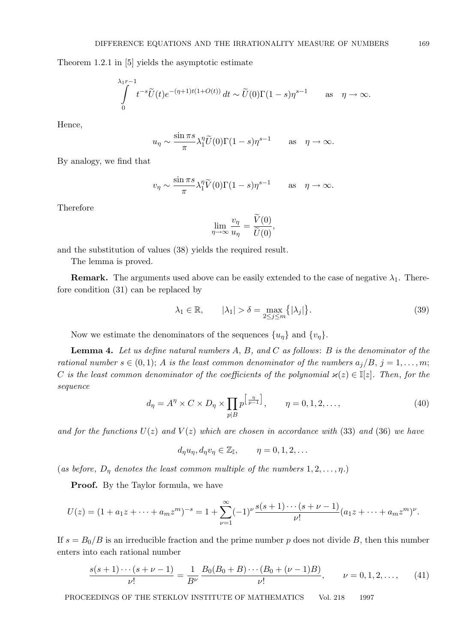Theorem 1.2.1 in [5] yields the asymptotic estimate

$$
\int_{0}^{\lambda_{1}r-1} t^{-s}\widetilde{U}(t)e^{-(\eta+1)t(1+O(t))} dt \sim \widetilde{U}(0)\Gamma(1-s)\eta^{s-1} \quad \text{as} \quad \eta \to \infty.
$$

Hence,

$$
u_{\eta} \sim \frac{\sin \pi s}{\pi} \lambda_1^{\eta} \widetilde{U}(0) \Gamma(1-s) \eta^{s-1}
$$
 as  $\eta \to \infty$ .

By analogy, we find that

$$
v_{\eta} \sim \frac{\sin \pi s}{\pi} \lambda_1^{\eta} \widetilde{V}(0) \Gamma(1-s) \eta^{s-1}
$$
 as  $\eta \to \infty$ .

Therefore

$$
\lim_{\eta \to \infty} \frac{v_{\eta}}{u_{\eta}} = \frac{V(0)}{\widetilde{U}(0)},
$$

and the substitution of values (38) yields the required result.

The lemma is proved.

**Remark.** The arguments used above can be easily extended to the case of negative  $\lambda_1$ . Therefore condition (31) can be replaced by

$$
\lambda_1 \in \mathbb{R}, \qquad |\lambda_1| > \delta = \max_{2 \le j \le m} \{ |\lambda_j| \}. \tag{39}
$$

Now we estimate the denominators of the sequences  $\{u_{\eta}\}\$  and  $\{v_{\eta}\}\$ .

**Lemma 4.** Let us define natural numbers  $A, B$ , and  $C$  as follows:  $B$  is the denominator of the rational number  $s \in (0,1)$ ; A is the least common denominator of the numbers  $a_j/B$ ,  $j = 1, \ldots, m$ ; C is the least common denominator of the coefficients of the polynomial  $\varkappa(z) \in \mathbb{I}[z]$ . Then, for the sequence

$$
d_{\eta} = A^{\eta} \times C \times D_{\eta} \times \prod_{p \mid B} p^{\left[\frac{\eta}{p-1}\right]}, \qquad \eta = 0, 1, 2, \dots,
$$
\n
$$
(40)
$$

and for the functions  $U(z)$  and  $V(z)$  which are chosen in accordance with (33) and (36) we have

$$
d_{\eta}u_{\eta}, d_{\eta}v_{\eta} \in \mathbb{Z}_{\mathbb{I}}, \qquad \eta = 0, 1, 2, \dots
$$

(as before,  $D_{\eta}$  denotes the least common multiple of the numbers  $1, 2, \ldots, \eta$ .)

Proof. By the Taylor formula, we have

$$
U(z) = (1 + a_1 z + \dots + a_m z^m)^{-s} = 1 + \sum_{\nu=1}^{\infty} (-1)^{\nu} \frac{s(s+1)\cdots(s+\nu-1)}{\nu!} (a_1 z + \dots + a_m z^m)^{\nu}.
$$

If  $s = B_0/B$  is an irreducible fraction and the prime number p does not divide B, then this number enters into each rational number

$$
\frac{s(s+1)\cdots(s+\nu-1)}{\nu!} = \frac{1}{B^{\nu}} \frac{B_0(B_0+B)\cdots(B_0+(\nu-1)B)}{\nu!}, \qquad \nu = 0, 1, 2, \dots,
$$
 (41)

PROCEEDINGS OF THE STEKLOV INSTITUTE OF MATHEMATICS Vol. 218 1997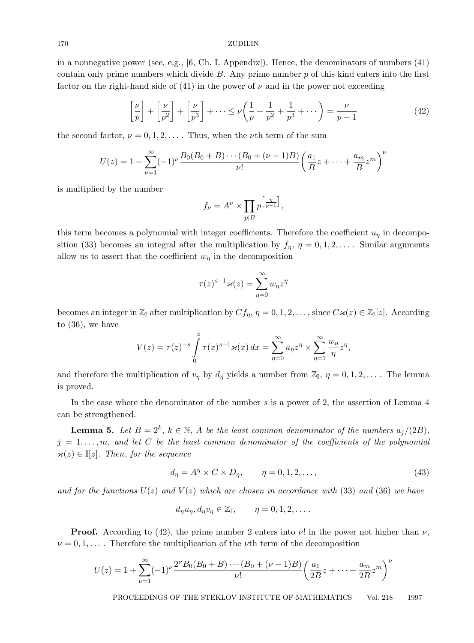#### 170 ZUDILIN

in a nonnegative power (see, e.g., [6, Ch. I, Appendix]). Hence, the denominators of numbers (41) contain only prime numbers which divide  $B$ . Any prime number  $p$  of this kind enters into the first factor on the right-hand side of (41) in the power of  $\nu$  and in the power not exceeding

$$
\left[\frac{\nu}{p}\right] + \left[\frac{\nu}{p^2}\right] + \left[\frac{\nu}{p^3}\right] + \dots \le \nu\left(\frac{1}{p} + \frac{1}{p^2} + \frac{1}{p^3} + \dots\right) = \frac{\nu}{p-1}
$$
\n(42)

the second factor,  $\nu = 0, 1, 2, \ldots$ . Thus, when the  $\nu$ th term of the sum

$$
U(z) = 1 + \sum_{\nu=1}^{\infty} (-1)^{\nu} \frac{B_0(B_0 + B) \cdots (B_0 + (\nu - 1)B)}{\nu!} \left(\frac{a_1}{B}z + \cdots + \frac{a_m}{B}z^m\right)^{\nu}
$$

is multiplied by the number

$$
f_{\nu} = A^{\nu} \times \prod_{p \mid B} p^{\left[\frac{\eta}{p-1}\right]},
$$

this term becomes a polynomial with integer coefficients. Therefore the coefficient  $u_n$  in decomposition (33) becomes an integral after the multiplication by  $f_{\eta}$ ,  $\eta = 0, 1, 2, \ldots$ . Similar arguments allow us to assert that the coefficient  $w_{\eta}$  in the decomposition

$$
\tau(z)^{s-1}\varkappa(z) = \sum_{\eta=0}^{\infty} w_{\eta} z^{\eta}
$$

becomes an integer in  $\mathbb{Z}_{\mathbb{I}}$  after multiplication by  $Cf_{\eta}$ ,  $\eta = 0, 1, 2, \ldots$ , since  $C\varkappa(z) \in \mathbb{Z}_{\mathbb{I}}[z]$ . According to (36), we have

$$
V(z) = \tau(z)^{-s} \int_{0}^{z} \tau(x)^{s-1} \varkappa(x) dx = \sum_{\eta=0}^{\infty} u_{\eta} z^{\eta} \times \sum_{\eta=1}^{\infty} \frac{w_{\eta}}{\eta} z^{\eta},
$$

and therefore the multiplication of  $v_{\eta}$  by  $d_{\eta}$  yields a number from  $\mathbb{Z}_{I}$ ,  $\eta = 0, 1, 2, \ldots$ . The lemma is proved.

In the case where the denominator of the number s is a power of 2, the assertion of Lemma 4 can be strengthened.

**Lemma 5.** Let  $B = 2^k$ ,  $k \in \mathbb{N}$ , A be the least common denominator of the numbers  $a_j/(2B)$ ,  $j = 1, \ldots, m$ , and let C be the least common denominator of the coefficients of the polynomial  $\varkappa(z) \in \mathbb{I}[z]$ . Then, for the sequence

$$
d_{\eta} = A^{\eta} \times C \times D_{\eta}, \qquad \eta = 0, 1, 2, \dots,
$$
\n<sup>(43)</sup>

and for the functions  $U(z)$  and  $V(z)$  which are chosen in accordance with (33) and (36) we have

$$
d_{\eta}u_{\eta}, d_{\eta}v_{\eta} \in \mathbb{Z}_{\mathbb{I}}, \qquad \eta = 0, 1, 2, \dots.
$$

**Proof.** According to (42), the prime number 2 enters into  $\nu$ ! in the power not higher than  $\nu$ ,  $\nu = 0, 1, \ldots$ . Therefore the multiplication of the  $\nu$ th term of the decomposition

$$
U(z) = 1 + \sum_{\nu=1}^{\infty} (-1)^{\nu} \frac{2^{\nu} B_0(B_0 + B) \cdots (B_0 + (\nu - 1)B)}{\nu!} \left(\frac{a_1}{2B}z + \cdots + \frac{a_m}{2B}z^m\right)^{\nu}
$$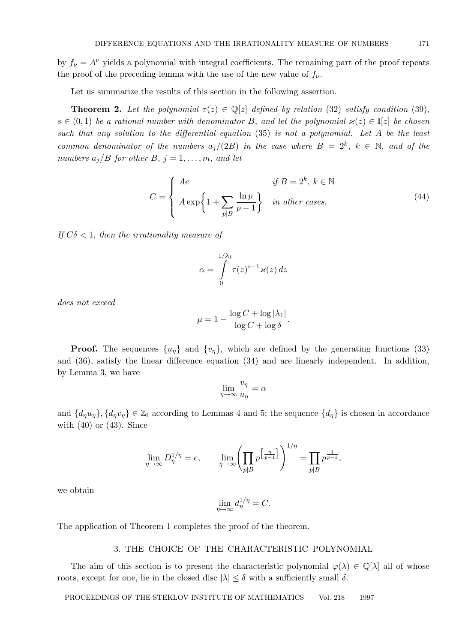by  $f_{\nu} = A^{\nu}$  yields a polynomial with integral coefficients. The remaining part of the proof repeats the proof of the preceding lemma with the use of the new value of  $f_{\nu}$ .

Let us summarize the results of this section in the following assertion.

**Theorem 2.** Let the polynomial  $\tau(z) \in \mathbb{Q}[z]$  defined by relation (32) satisfy condition (39),  $s \in (0,1)$  be a rational number with denominator B, and let the polynomial  $\varkappa(z) \in \mathbb{I}[z]$  be chosen such that any solution to the differential equation (35) is not a polynomial. Let A be the least common denominator of the numbers  $a_j/(2B)$  in the case where  $B = 2^k$ ,  $k \in \mathbb{N}$ , and of the numbers  $a_j/B$  for other B,  $j = 1, \ldots, m$ , and let

$$
C = \begin{cases} Ae & \text{if } B = 2^k, \ k \in \mathbb{N} \\ A \exp\left\{1 + \sum_{p \mid B} \frac{\ln p}{p - 1}\right\} & \text{in other cases.} \end{cases}
$$
(44)

If  $C\delta$  < 1, then the irrationality measure of

$$
\alpha = \int_{0}^{1/\lambda_1} \tau(z)^{s-1} \varkappa(z) dz
$$

does not exceed

$$
\mu = 1 - \frac{\log C + \log |\lambda_1|}{\log C + \log \delta}.
$$

**Proof.** The sequences  $\{u_n\}$  and  $\{v_n\}$ , which are defined by the generating functions (33) and (36), satisfy the linear difference equation (34) and are linearly independent. In addition, by Lemma 3, we have

$$
\lim_{\eta \to \infty} \frac{v_{\eta}}{u_{\eta}} = \alpha
$$

and  $\{d_\eta u_\eta\}, \{d_\eta v_\eta\} \in \mathbb{Z}_{\mathbb{I}}$  according to Lemmas 4 and 5; the sequence  $\{d_\eta\}$  is chosen in accordance with  $(40)$  or  $(43)$ . Since

$$
\lim_{\eta \to \infty} D_{\eta}^{1/\eta} = e, \qquad \lim_{\eta \to \infty} \left( \prod_{p \mid B} p^{\left[\frac{\eta}{p-1}\right]} \right)^{1/\eta} = \prod_{p \mid B} p^{\frac{1}{p-1}},
$$

we obtain

$$
\lim_{\eta \to \infty} d_{\eta}^{1/\eta} = C.
$$

The application of Theorem 1 completes the proof of the theorem.

## 3. THE CHOICE OF THE CHARACTERISTIC POLYNOMIAL

The aim of this section is to present the characteristic polynomial  $\varphi(\lambda) \in \mathbb{Q}[\lambda]$  all of whose roots, except for one, lie in the closed disc  $|\lambda| \leq \delta$  with a sufficiently small  $\delta$ .

PROCEEDINGS OF THE STEKLOV INSTITUTE OF MATHEMATICS Vol. 218 1997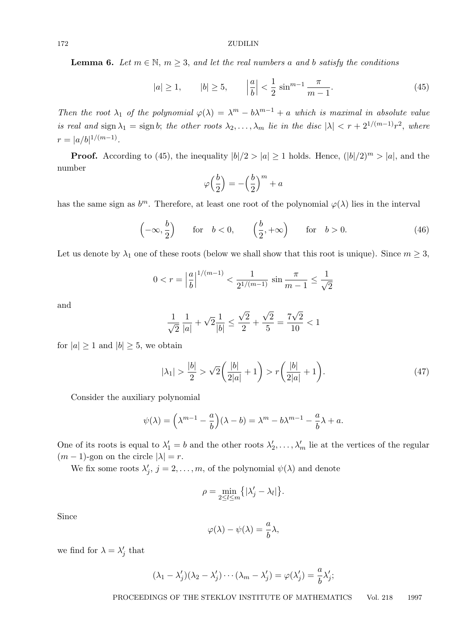**Lemma 6.** Let  $m \in \mathbb{N}$ ,  $m \geq 3$ , and let the real numbers a and b satisfy the conditions

$$
|a| \ge 1, \qquad |b| \ge 5, \qquad \left|\frac{a}{b}\right| < \frac{1}{2}\sin^{m-1}\frac{\pi}{m-1}.\tag{45}
$$

Then the root  $\lambda_1$  of the polynomial  $\varphi(\lambda) = \lambda^m - b\lambda^{m-1} + a$  which is maximal in absolute value is real and sign  $\lambda_1 = \text{sign } b$ ; the other roots  $\lambda_2, \ldots, \lambda_m$  lie in the disc  $|\lambda| < r + 2^{1/(m-1)}r^2$ , where  $r = |a/b|^{1/(m-1)}$ .

**Proof.** According to (45), the inequality  $|b|/2 > |a| \ge 1$  holds. Hence,  $(|b|/2)^m > |a|$ , and the number

$$
\varphi\Big(\frac{b}{2}\Big) = -\Big(\frac{b}{2}\Big)^m + a
$$

has the same sign as  $b^m$ . Therefore, at least one root of the polynomial  $\varphi(\lambda)$  lies in the interval

$$
\left(-\infty, \frac{b}{2}\right)
$$
 for  $b < 0$ ,  $\left(\frac{b}{2}, +\infty\right)$  for  $b > 0$ . (46)

Let us denote by  $\lambda_1$  one of these roots (below we shall show that this root is unique). Since  $m \geq 3$ ,

$$
0 < r = \left| \frac{a}{b} \right|^{1/(m-1)} < \frac{1}{2^{1/(m-1)}} \sin \frac{\pi}{m-1} \le \frac{1}{\sqrt{2}}
$$

and

$$
\frac{1}{\sqrt{2}} \frac{1}{|a|} + \sqrt{2} \frac{1}{|b|} \le \frac{\sqrt{2}}{2} + \frac{\sqrt{2}}{5} = \frac{7\sqrt{2}}{10} < 1
$$

for  $|a| \geq 1$  and  $|b| \geq 5$ , we obtain

$$
|\lambda_1| > \frac{|b|}{2} > \sqrt{2}\left(\frac{|b|}{2|a|} + 1\right) > r\left(\frac{|b|}{2|a|} + 1\right).
$$
 (47)

Consider the auxiliary polynomial

$$
\psi(\lambda) = \left(\lambda^{m-1} - \frac{a}{b}\right)(\lambda - b) = \lambda^m - b\lambda^{m-1} - \frac{a}{b}\lambda + a.
$$

One of its roots is equal to  $\lambda'_1 = b$  and the other roots  $\lambda'_2$  $\lambda'_2, \ldots, \lambda'_m$  lie at the vertices of the regular  $(m-1)$ -gon on the circle  $|\lambda| = r$ .

We fix some roots  $\lambda'$  $j, j = 2, \ldots, m$ , of the polynomial  $\psi(\lambda)$  and denote

$$
\rho = \min_{2 \le l \le m} \{ |\lambda'_j - \lambda_l| \}.
$$

Since

$$
\varphi(\lambda) - \psi(\lambda) = \frac{a}{b}\lambda,
$$

we find for  $\lambda = \lambda'$  $'_{j}$  that

$$
(\lambda_1 - \lambda'_j)(\lambda_2 - \lambda'_j) \cdots (\lambda_m - \lambda'_j) = \varphi(\lambda'_j) = \frac{a}{b} \lambda'_j;
$$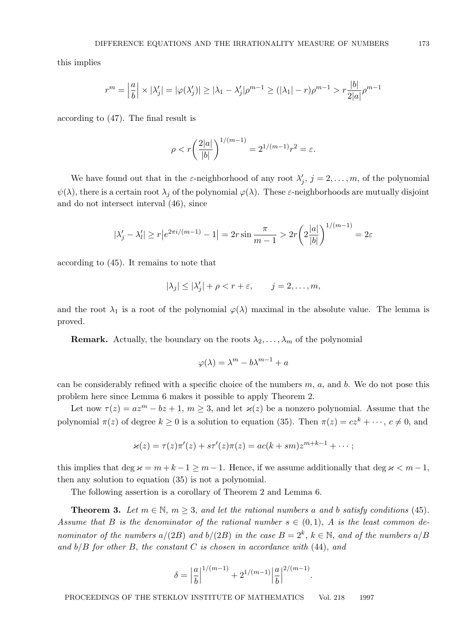this implies

$$
r^m = \left|\frac{a}{b}\right| \times |\lambda'_j| = |\varphi(\lambda'_j)| \ge |\lambda_1 - \lambda'_j| \rho^{m-1} \ge (|\lambda_1| - r) \rho^{m-1} > r \frac{|b|}{2|a|} \rho^{m-1}
$$

according to (47). The final result is

$$
\rho < r \bigg( \frac{2|a|}{|b|} \bigg)^{1/(m-1)} = 2^{1/(m-1)} r^2 = \varepsilon.
$$

We have found out that in the  $\varepsilon$ -neighborhood of any root  $\lambda'$ .  $j, j = 2, \ldots, m$ , of the polynomial  $\psi(\lambda)$ , there is a certain root  $\lambda_j$  of the polynomial  $\varphi(\lambda)$ . These  $\varepsilon$ -neighborhoods are mutually disjoint and do not intersect interval (46), since

$$
|\lambda'_j - \lambda'_l| \ge r \left| e^{2\pi i/(m-1)} - 1 \right| = 2r \sin \frac{\pi}{m-1} > 2r \left( 2\frac{|a|}{|b|} \right)^{1/(m-1)} = 2\varepsilon
$$

according to (45). It remains to note that

$$
|\lambda_j| \le |\lambda'_j| + \rho < r + \varepsilon, \qquad j = 2, \dots, m,
$$

and the root  $\lambda_1$  is a root of the polynomial  $\varphi(\lambda)$  maximal in the absolute value. The lemma is proved.

**Remark.** Actually, the boundary on the roots  $\lambda_2, \ldots, \lambda_m$  of the polynomial

$$
\varphi(\lambda) = \lambda^m - b\lambda^{m-1} + a
$$

can be considerably refined with a specific choice of the numbers  $m$ ,  $a$ , and  $b$ . We do not pose this problem here since Lemma 6 makes it possible to apply Theorem 2.

Let now  $\tau(z) = az^m - bz + 1, m \ge 3$ , and let  $\varkappa(z)$  be a nonzero polynomial. Assume that the polynomial  $\pi(z)$  of degree  $k \geq 0$  is a solution to equation (35). Then  $\pi(z) = cz^k + \cdots, c \neq 0$ , and

$$
\varkappa(z)=\tau(z)\pi'(z)+s\tau'(z)\pi(z)=ac(k+sm)z^{m+k-1}+\cdots;
$$

this implies that deg  $\varkappa = m + k - 1 \ge m - 1$ . Hence, if we assume additionally that deg  $\varkappa < m - 1$ , then any solution to equation (35) is not a polynomial.

The following assertion is a corollary of Theorem 2 and Lemma 6.

**Theorem 3.** Let  $m \in \mathbb{N}$ ,  $m \geq 3$ , and let the rational numbers a and b satisfy conditions (45). Assume that B is the denominator of the rational number  $s \in (0,1)$ , A is the least common denominator of the numbers  $a/(2B)$  and  $b/(2B)$  in the case  $B = 2<sup>k</sup>$ ,  $k \in \mathbb{N}$ , and of the numbers  $a/B$ and  $b/B$  for other B, the constant C is chosen in accordance with  $(44)$ , and

$$
\delta = \left| \frac{a}{b} \right|^{1/(m-1)} + 2^{1/(m-1)} \left| \frac{a}{b} \right|^{2/(m-1)}.
$$